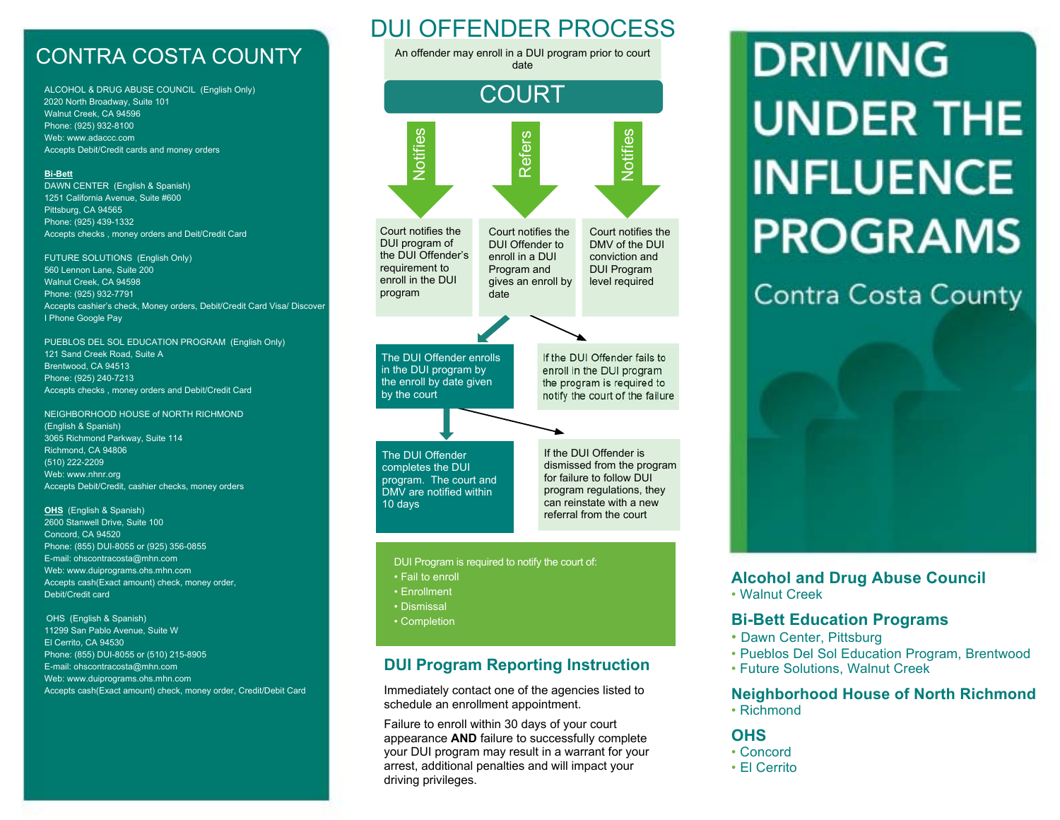# CONTRA COSTA COUNTY

ALCOHOL & DRUG ABUSE COUNCIL (English Only) 2020 North Broadway, Suite 101 Walnut Creek, CA 94596 Phone: (925) 932-8100 Web: www.adaccc.com Accepts Debit/Credit cards and money orders

#### **Bi-Bett**

DAWN CENTER (English & Spanish) 1251 California Avenue, Suite #600 Pittsburg, CA 94565 Phone: (925) 439-1332 Accepts checks , money orders and Deit/Credit Card

FUTURE SOLUTIONS (English Only) 560 Lennon Lane, Suite 200 Walnut Creek, CA 94598 Phone: (925) 932-7791 Accepts cashier's check, Money orders, Debit/Credit Card Visa/ Discover I Phone Google Pay

PUEBLOS DEL SOL EDUCATION PROGRAM (English Only) 121 Sand Creek Road, Suite A Brentwood, CA 94513 Phone: (925) 240-7213 Accepts checks , money orders and Debit/Credit Card

NEIGHBORHOOD HOUSE of NORTH RICHMOND (English & Spanish) 3065 Richmond Parkway, Suite 114 Richmond, CA 94806 (510) 222-2209 Web: www.nhnr.org Accepts Debit/Credit, cashier checks, money orders

#### **OHS** (English & Spanish)

2600 Stanwell Drive, Suite 100 Concord, CA 94520 Phone: (855) DUI-8055 or (925) 356-0855 E-mail: ohscontracosta@mhn.com Web: www.duiprograms.ohs.mhn.com Accepts cash(Exact amount) check, money order, Debit/Credit card

#### OHS (English & Spanish)

11299 San Pablo Avenue, Suite W El Cerrito, CA 94530 Phone: (855) DUI-8055 or (510) 215-8905 E-mail: ohscontracosta@mhn.com Web: www.duiprograms.ohs.mhn.com Accepts cash(Exact amount) check, money order, Credit/Debit Card

# DUI OFFENDER PROCESS

An offender may enroll in a DUI program prior to court date



program regulations, they can reinstate with a new referral from the court

program. The court and DMV are notified within 10 days

DUI Program is required to notify the court of:

- Fail to enroll
- Enrollment
- Dismissal
- Completion

## **DUI Program Reporting Instruction**

Immediately contact one of the agencies listed to schedule an enrollment appointment.

Failure to enroll within 30 days of your court appearance **AND** failure to successfully complete your DUI program may result in a warrant for your arrest, additional penalties and will impact your driving privileges.

# **DRIVING UNDER THE INFLUENCE PROGRAMS**

# **Contra Costa County**



## **Alcohol and Drug Abuse Council**

• Walnut Creek  $\mathcal{L}$ ck

## **Bi-Bett Education Programs**

- Dawn Center, Pittsburg
- Pueblos Del Sol Education Program, Brentwood
- Future Solutions, Walnut Creek

#### **Neighborhood House of North Richmond**

• Richmond

#### **OHS**

- Concord
- El Cerrito